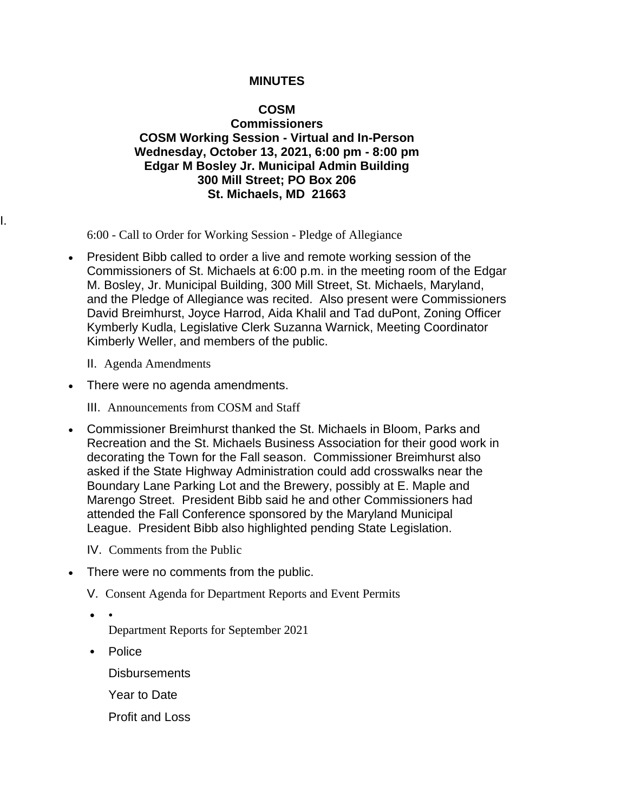## **MINUTES**

## **COSM**

## **Commissioners COSM Working Session - Virtual and In-Person Wednesday, October 13, 2021, 6:00 pm - 8:00 pm Edgar M Bosley Jr. Municipal Admin Building 300 Mill Street; PO Box 206 St. Michaels, MD 21663**

6:00 - Call to Order for Working Session - Pledge of Allegiance

- President Bibb called to order a live and remote working session of the Commissioners of St. Michaels at 6:00 p.m. in the meeting room of the Edgar M. Bosley, Jr. Municipal Building, 300 Mill Street, St. Michaels, Maryland, and the Pledge of Allegiance was recited. Also present were Commissioners David Breimhurst, Joyce Harrod, Aida Khalil and Tad duPont, Zoning Officer Kymberly Kudla, Legislative Clerk Suzanna Warnick, Meeting Coordinator Kimberly Weller, and members of the public.
	- II. Agenda Amendments

I.

- There were no agenda amendments.
	- III. Announcements from COSM and Staff
- Commissioner Breimhurst thanked the St. Michaels in Bloom, Parks and Recreation and the St. Michaels Business Association for their good work in decorating the Town for the Fall season. Commissioner Breimhurst also asked if the State Highway Administration could add crosswalks near the Boundary Lane Parking Lot and the Brewery, possibly at E. Maple and Marengo Street. President Bibb said he and other Commissioners had attended the Fall Conference sponsored by the Maryland Municipal League. President Bibb also highlighted pending State Legislation.

IV. Comments from the Public

- There were no comments from the public.
	- V. Consent Agenda for Department Reports and Event Permits
	- • Department Reports for September 2021
	- Police
		- **Disbursements**
		- Year to Date
		- Profit and Loss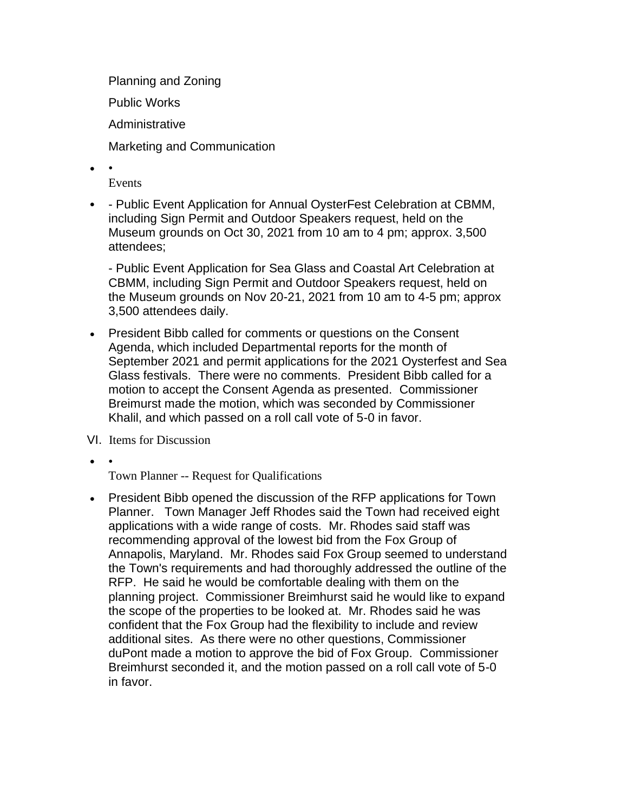Planning and Zoning Public Works Administrative Marketing and Communication

- •
	- Events
- - Public Event Application for Annual OysterFest Celebration at CBMM, including Sign Permit and Outdoor Speakers request, held on the Museum grounds on Oct 30, 2021 from 10 am to 4 pm; approx. 3,500 attendees;

- Public Event Application for Sea Glass and Coastal Art Celebration at CBMM, including Sign Permit and Outdoor Speakers request, held on the Museum grounds on Nov 20-21, 2021 from 10 am to 4-5 pm; approx 3,500 attendees daily.

- President Bibb called for comments or questions on the Consent Agenda, which included Departmental reports for the month of September 2021 and permit applications for the 2021 Oysterfest and Sea Glass festivals. There were no comments. President Bibb called for a motion to accept the Consent Agenda as presented. Commissioner Breimurst made the motion, which was seconded by Commissioner Khalil, and which passed on a roll call vote of 5-0 in favor.
- VI. Items for Discussion
- •

Town Planner -- Request for Qualifications

• President Bibb opened the discussion of the RFP applications for Town Planner. Town Manager Jeff Rhodes said the Town had received eight applications with a wide range of costs. Mr. Rhodes said staff was recommending approval of the lowest bid from the Fox Group of Annapolis, Maryland. Mr. Rhodes said Fox Group seemed to understand the Town's requirements and had thoroughly addressed the outline of the RFP. He said he would be comfortable dealing with them on the planning project. Commissioner Breimhurst said he would like to expand the scope of the properties to be looked at. Mr. Rhodes said he was confident that the Fox Group had the flexibility to include and review additional sites. As there were no other questions, Commissioner duPont made a motion to approve the bid of Fox Group. Commissioner Breimhurst seconded it, and the motion passed on a roll call vote of 5-0 in favor.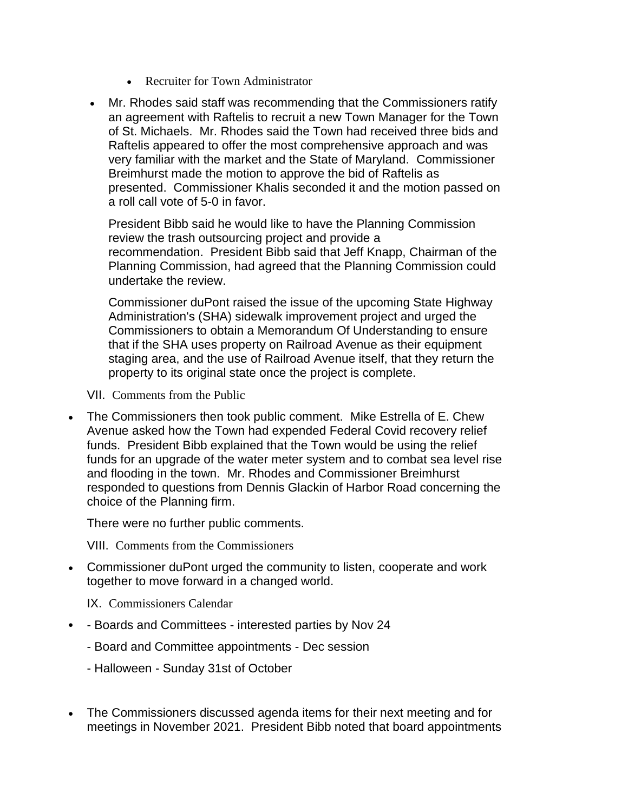- Recruiter for Town Administrator
- Mr. Rhodes said staff was recommending that the Commissioners ratify an agreement with Raftelis to recruit a new Town Manager for the Town of St. Michaels. Mr. Rhodes said the Town had received three bids and Raftelis appeared to offer the most comprehensive approach and was very familiar with the market and the State of Maryland. Commissioner Breimhurst made the motion to approve the bid of Raftelis as presented. Commissioner Khalis seconded it and the motion passed on a roll call vote of 5-0 in favor.

President Bibb said he would like to have the Planning Commission review the trash outsourcing project and provide a recommendation. President Bibb said that Jeff Knapp, Chairman of the Planning Commission, had agreed that the Planning Commission could undertake the review.

Commissioner duPont raised the issue of the upcoming State Highway Administration's (SHA) sidewalk improvement project and urged the Commissioners to obtain a Memorandum Of Understanding to ensure that if the SHA uses property on Railroad Avenue as their equipment staging area, and the use of Railroad Avenue itself, that they return the property to its original state once the project is complete.

VII. Comments from the Public

• The Commissioners then took public comment. Mike Estrella of E. Chew Avenue asked how the Town had expended Federal Covid recovery relief funds. President Bibb explained that the Town would be using the relief funds for an upgrade of the water meter system and to combat sea level rise and flooding in the town. Mr. Rhodes and Commissioner Breimhurst responded to questions from Dennis Glackin of Harbor Road concerning the choice of the Planning firm.

There were no further public comments.

VIII. Comments from the Commissioners

• Commissioner duPont urged the community to listen, cooperate and work together to move forward in a changed world.

IX. Commissioners Calendar

- - Boards and Committees interested parties by Nov 24
	- Board and Committee appointments Dec session
	- Halloween Sunday 31st of October
- The Commissioners discussed agenda items for their next meeting and for meetings in November 2021. President Bibb noted that board appointments